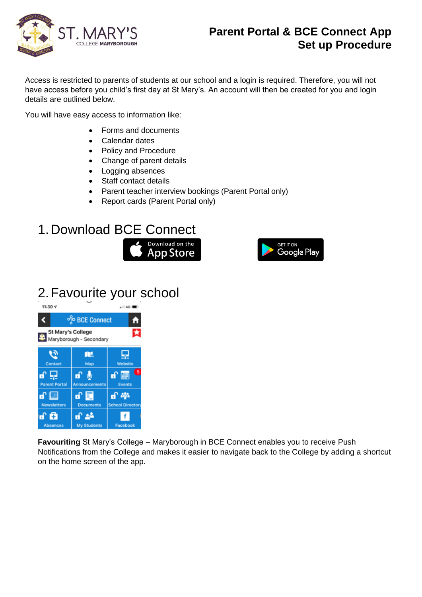

#### **Parent Portal & BCE Connect App Set up Procedure**

Access is restricted to parents of students at our school and a login is required. Therefore, you will not have access before you child's first day at St Mary's. An account will then be created for you and login details are outlined below.

You will have easy access to information like:

- Forms and documents
- Calendar dates
- Policy and Procedure
- Change of parent details
- Logging absences
- Staff contact details
- Parent teacher interview bookings (Parent Portal only)
- Report cards (Parent Portal only)

# 1.Download BCE Connect





# 2.Favourite your school



**Favouriting** St Mary's College – Maryborough in BCE Connect enables you to receive Push Notifications from the College and makes it easier to navigate back to the College by adding a shortcut on the home screen of the app.